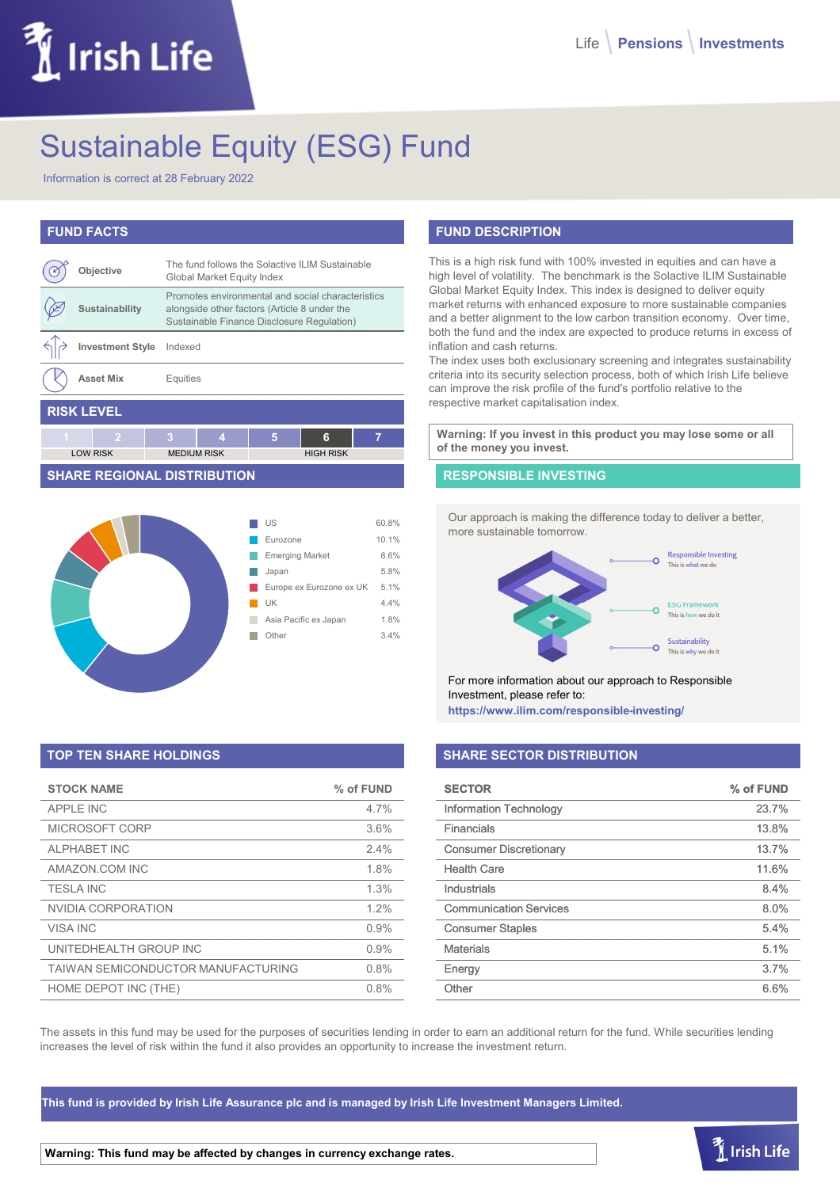# Irish Life

# Sustainable Equity (ESG) Fund

Information is correct at 28 February 2022

# **FUND FACTS**

|                   | Objective               |   | The fund follows the Solactive ILIM Sustainable<br>Global Market Equity Index                                                                   |   |                  |   |
|-------------------|-------------------------|---|-------------------------------------------------------------------------------------------------------------------------------------------------|---|------------------|---|
|                   | Sustainability          |   | Promotes environmental and social characteristics<br>alongside other factors (Article 8 under the<br>Sustainable Finance Disclosure Regulation) |   |                  |   |
|                   | <b>Investment Style</b> |   | Indexed                                                                                                                                         |   |                  |   |
|                   | <b>Asset Mix</b>        |   | Equities                                                                                                                                        |   |                  |   |
| <b>RISK LEVEL</b> |                         |   |                                                                                                                                                 |   |                  |   |
| 4                 | 2                       | 3 | 4                                                                                                                                               | 5 | 6                | 7 |
|                   | <b>LOW RISK</b>         |   | <b>MEDIUM RISK</b>                                                                                                                              |   | <b>HIGH RISK</b> |   |

#### **SHARE REGIONAL DISTRIBUTION**



# **TOP TEN SHARE HOLDINGS**

| <b>STOCK NAME</b>                  | % of FUND |
|------------------------------------|-----------|
| APPI F INC                         | 4.7%      |
| MICROSOFT CORP                     | 3.6%      |
| <b>ALPHABET INC</b>                | 2.4%      |
| AMAZON.COM INC                     | 1.8%      |
| <b>TESLA INC</b>                   | 1.3%      |
| NVIDIA CORPORATION                 | 1.2%      |
| <b>VISA INC</b>                    | 0.9%      |
| UNITEDHEALTH GROUP INC             | 0.9%      |
| TAIWAN SEMICONDUCTOR MANUFACTURING | 0.8%      |
| HOME DEPOT INC (THE)               | 0.8%      |

# **FUND DESCRIPTION**

This is a high risk fund with 100% invested in equities and can have a high level of volatility. The benchmark is the Solactive ILIM Sustainable Global Market Equity Index. This index is designed to deliver equity market returns with enhanced exposure to more sustainable companies and a better alignment to the low carbon transition economy. Over time, both the fund and the index are expected to produce returns in excess of inflation and cash returns.

The index uses both exclusionary screening and integrates sustainability criteria into its security selection process, both of which Irish Life believe can improve the risk profile of the fund's portfolio relative to the respective market capitalisation index.

**Warning: If you invest in this product you may lose some or all of the money you invest.**

#### **RESPONSIBLE INVESTING**

Our approach is making the difference today to deliver a better, more sustainable tomorrow.



For more information about our approach to Responsible Investment, please refer to:

**https://www.ilim.com/responsible-investing/**

## **SHARE SECTOR DISTRIBUTION**

| <b>SECTOR</b>                 | % of FUND |
|-------------------------------|-----------|
| <b>Information Technology</b> | 23.7%     |
| Financials                    | 13.8%     |
| <b>Consumer Discretionary</b> | 13.7%     |
| <b>Health Care</b>            | 11.6%     |
| Industrials                   | 8.4%      |
| <b>Communication Services</b> | 8.0%      |
| <b>Consumer Staples</b>       | 5.4%      |
| <b>Materials</b>              | 5.1%      |
| Energy                        | 3.7%      |
| Other                         | 6.6%      |

 $\tilde{I}$  Irish Life

The assets in this fund may be used for the purposes of securities lending in order to earn an additional return for the fund. While securities lending increases the level of risk within the fund it also provides an opportunity to increase the investment return.

**This fund is provided by Irish Life Assurance plc and is managed by Irish Life Investment Managers Limited.**

**Warning: This fund may be affected by changes in currency exchange rates.**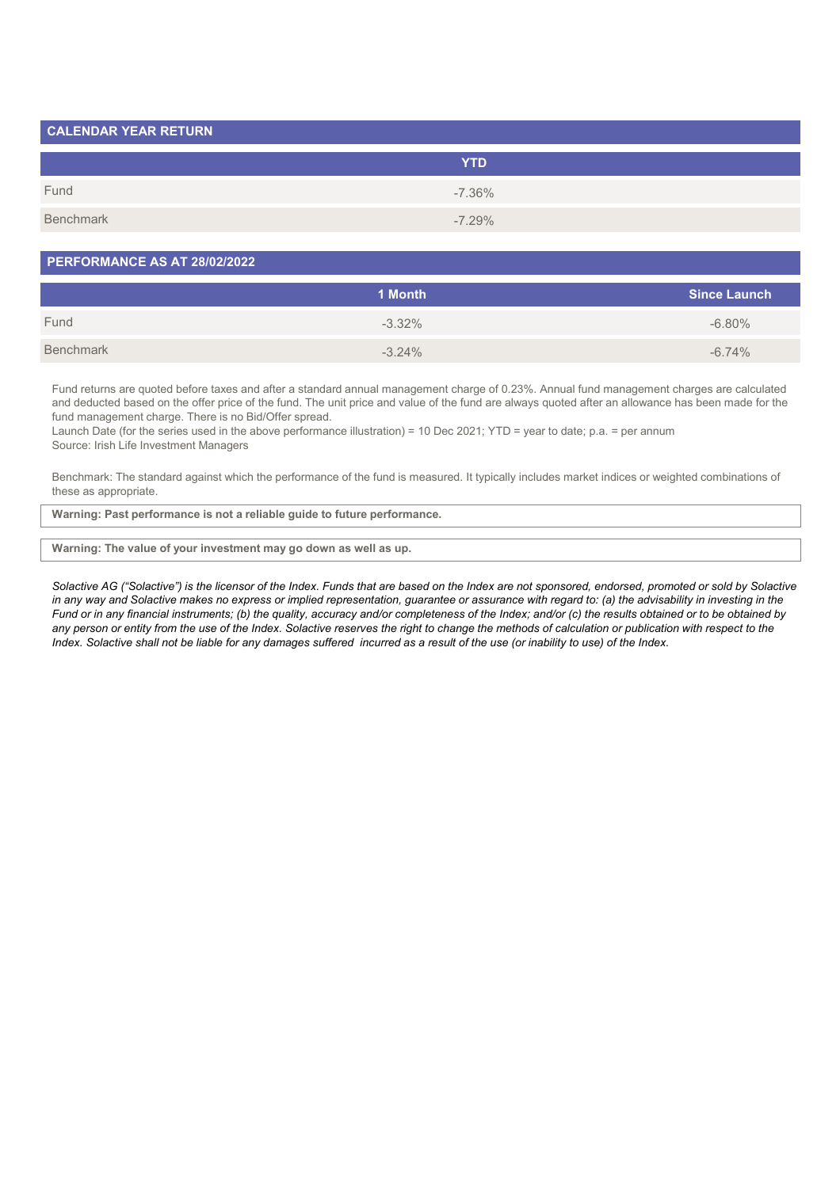| <b>CALENDAR YEAR RETURN</b> |            |  |
|-----------------------------|------------|--|
|                             | <b>YTD</b> |  |
| Fund                        | $-7.36\%$  |  |
| Benchmark                   | $-7.29\%$  |  |

#### **PERFORMANCE AS AT 28/02/2022**

|           | 1 Month   | <b>Since Launch</b> |
|-----------|-----------|---------------------|
| Fund      | $-3.32\%$ | $-6.80\%$           |
| Benchmark | $-3.24%$  | $-6.74%$            |

Fund returns are quoted before taxes and after a standard annual management charge of 0.23%. Annual fund management charges are calculated and deducted based on the offer price of the fund. The unit price and value of the fund are always quoted after an allowance has been made for the fund management charge. There is no Bid/Offer spread.

Launch Date (for the series used in the above performance illustration) = 10 Dec 2021; YTD = year to date; p.a. = per annum Source: Irish Life Investment Managers

Benchmark: The standard against which the performance of the fund is measured. It typically includes market indices or weighted combinations of these as appropriate.

**Warning: Past performance is not a reliable guide to future performance.**

#### **Warning: The value of your investment may go down as well as up.**

*Solactive AG ("Solactive") is the licensor of the Index. Funds that are based on the Index are not sponsored, endorsed, promoted or sold by Solactive* in any way and Solactive makes no express or implied representation, guarantee or assurance with regard to: (a) the advisability in investing in the *Fund or in any financial instruments; (b) the quality, accuracy and/or completeness of the Index; and/or (c) the results obtained or to be obtained by any person or entity from the use of the Index. Solactive reserves the right to change the methods of calculation or publication with respect to the Index. Solactive shall not be liable for any damages suffered incurred as a result of the use (or inability to use) of the Index.*